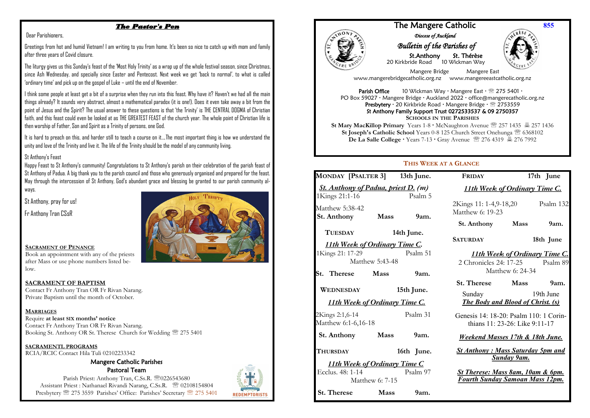## *The Pastor's Pen*

#### Dear Parishioners,

Greetings from hot and humid Vietnam! I am writing to you from home. It's been so nice to catch up with mom and family after three years of Covid closure.

The liturgy gives us this Sunday's feast of the 'Most Holy Trinity' as a wrap up of the whole festival season, since Christmas, since Ash Wednesday, and specially since Easter and Pentecost. Next week we get 'back to normal', to what is called 'ordinary time' and pick up on the gospel of Luke – until the end of November.

I think some people at least get a bit of a surprise when they run into this feast. Why have it? Haven't we had all the main things already? It sounds very abstract, almost a mathematical paradox (it is one!). Does it even take away a bit from the point of Jesus and the Spirit? The usual answer to these questions is that 'the Trinity' is THE CENTRAL DOGMA of Christian faith, and this feast could even be looked at as THE GREATEST FEAST of the church year. The whole point of Christian life is then worship of Father, Son and Spirit as a Trinity of persons, one God.

It is hard to preach on this, and harder still to teach a course on it….The most important thing is how we understand the unity and love of the Trinity and live it. The life of the Trinity should be the model of any community living.

#### St Anthony's Feast

Happy Feast to St Anthony's community! Congratulations to St Anthony's parish on their celebration of the parish feast of St Anthony of Padua. A big thank you to the parish council and those who generously organised and prepared for the feast. May through the intercession of St Anthony, God's abundant grace and blessing be granted to our parish community always.

St Anthony, pray for us!

Fr Anthony Tran CSsR



## **SACRAMENT OF PENANCE**

Book an appointment with any of the priests after Mass or use phone numbers listed below.

#### **SACRAMENT OF BAPTISM**

Contact Fr Anthony Tran OR Fr Rivan Narang. Private Baptism until the month of October.

#### **MARRIAGES**

 $\overline{a}$  Booking St. Anthony OR St. Therese Church for Wedding 275 5401 Require **at least SIX months' notice** Contact Fr Anthony Tran OR Fr Rivan Narang.

#### **SACRAMENTL PROGRAMS**

RCIA/RCIC Contact Hila Tuli 02102233342

#### Mangere Catholic Parishes Pastoral Team

Parish Priest: Anthony Tran, C.Ss.R. 20226543680 Assistant Priest : Nathanael Rivandi Narang, C.Ss.R. <sup>28</sup> 02108154804 Presbytery <sup>275</sup> 275 3559 Parishes' Office: Parishes' Secretary <sup>275</sup> 275 5401





## The Mangere Catholic *Diocese of Auckland*

# *Bulletin of the Parishes of*

 St.Anthony St. Thérèse 20 Kirkbride Road 10 Wickman Way



**855**

 Mangere Bridge Mangere East www.mangerebridgecatholic.org.nz www.mangereeastcatholic.org.nz

**Parish Office** 10 Wickman Way  $\cdot$  Mangere East  $\cdot \mathcal{D}$  275 5401  $\cdot$ PO Box 59027 · Mangere Bridge · Auckland 2022 · office@mangerecatholic.org.nz Presbytery · 20 Kirkbride Road · Mangere Bridge · 2753559 St Anthony Family Support Trust 0272533537 & 09 2750357 **SCHOOLS IN THE PARISHES**

**St Mary MacKillop Primary** Years  $1-8 \cdot$  McNaughton Avenue  $\mathbb{R}$  257 1435  $\mathbb{R}$  257 1436 **St Ioseph's Catholic School** Years 0-8 125 Church Street Onehunga  **6368102 De La Salle College** Years 7-13 Gray Avenue **276 4319** 5 276 7992

## **THIS WEEK AT A GLANCE**

| <b>MONDAY [PSALTER 3]</b>                                    |                 | 13th June. | <b>FRIDAY</b>                                |                                        | 17th June |  |
|--------------------------------------------------------------|-----------------|------------|----------------------------------------------|----------------------------------------|-----------|--|
| <b>St. Anthony of Padua, priest D.</b> (m)<br>1Kings 21:1-16 |                 | Psalm 5    |                                              | <b>11th Week of Ordinary Time C.</b>   |           |  |
| Matthew 5:38-42<br><b>St. Anthony</b>                        | Mass            | 9am.       | 2Kings 11: 1-4,9-18,20<br>Matthew 6: 19-23   |                                        | Psalm 132 |  |
|                                                              |                 |            | St. Anthony Mass                             |                                        | 9am.      |  |
| <b>TUESDAY</b>                                               | 14th June.      |            |                                              |                                        |           |  |
| <b>11th Week of Ordinary Time C.</b>                         |                 |            | <b>SATURDAY</b>                              | 18th June                              |           |  |
| 1Kings 21: 17-29                                             |                 | Psalm 51   | <b>11th Week of Ordinary Time C.</b>         |                                        |           |  |
| Matthew 5:43-48                                              |                 |            | 2 Chronicles 24: 17-25 Psalm 89              |                                        |           |  |
| St. Therese Mass                                             |                 | 9am.       | Matthew 6: 24-34                             |                                        |           |  |
|                                                              |                 |            | St. Therese Mass                             |                                        | 9am.      |  |
| WEDNESDAY                                                    | 15th June.      |            | Sunday 19th June                             |                                        |           |  |
| <b>11th Week of Ordinary Time C.</b>                         |                 |            | <b>The Body and Blood of Christ. (s)</b>     |                                        |           |  |
| 2Kings 2:1,6-14                                              |                 | Psalm 31   |                                              | Genesis 14: 18-20: Psalm 110: 1 Corin- |           |  |
| Matthew 6:1-6,16-18                                          |                 |            | thians 11: 23-26: Like 9:11-17               |                                        |           |  |
| St. Anthony Mass                                             |                 | 9am.       | <b>Weekend Masses 17th &amp; 18th June.</b>  |                                        |           |  |
| <b>THURSDAY</b>                                              |                 | 16th June. | <b>St Anthony: Mass Saturday 5pm and</b>     |                                        |           |  |
| <b>Sunday 9am.</b><br><b>11th Week of Ordinary Time C</b>    |                 |            |                                              |                                        |           |  |
| Ecclus. 48: 1-14                                             | Psalm 97        |            | <b>St Therese: Mass 8am, 10am &amp; 6pm.</b> |                                        |           |  |
|                                                              | Matthew 6: 7-15 |            | <b>Fourth Sunday Samoan Mass 12pm.</b>       |                                        |           |  |
| St. Therese Mass                                             |                 | 9am        |                                              |                                        |           |  |